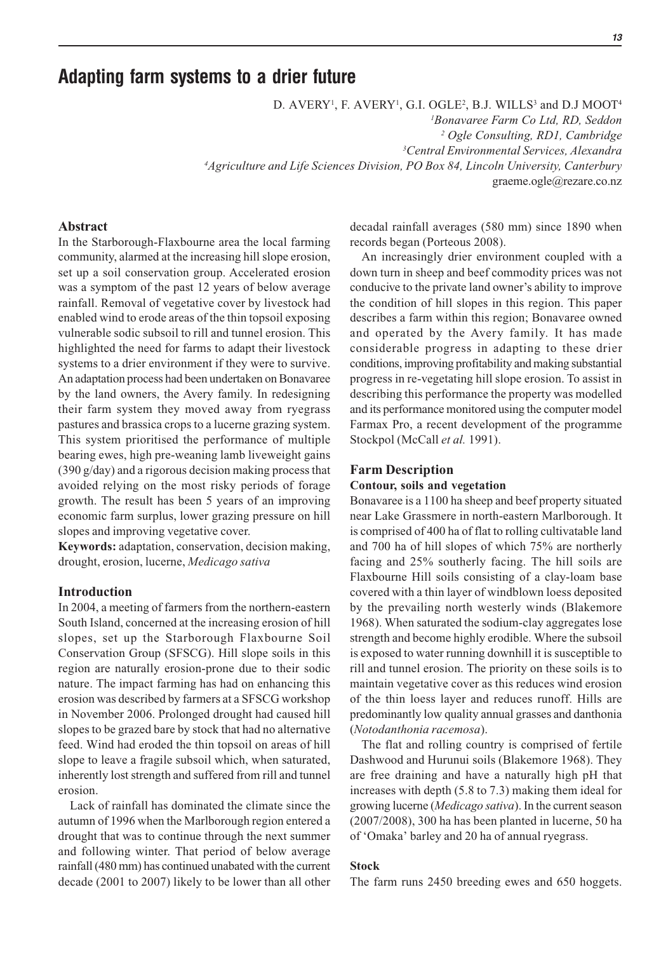# **Adapting farm systems to a drier future**

D. AVERY<sup>1</sup>, F. AVERY<sup>1</sup>, G.I. OGLE<sup>2</sup>, B.J. WILLS<sup>3</sup> and D.J MOOT<sup>4</sup> *Bonavaree Farm Co Ltd, RD, Seddon Ogle Consulting, RD1, Cambridge Central Environmental Services, Alexandra Agriculture and Life Sciences Division, PO Box 84, Lincoln University, Canterbury* graeme.ogle@rezare.co.nz

### **Abstract**

In the Starborough-Flaxbourne area the local farming community, alarmed at the increasing hill slope erosion, set up a soil conservation group. Accelerated erosion was a symptom of the past 12 years of below average rainfall. Removal of vegetative cover by livestock had enabled wind to erode areas of the thin topsoil exposing vulnerable sodic subsoil to rill and tunnel erosion. This highlighted the need for farms to adapt their livestock systems to a drier environment if they were to survive. An adaptation process had been undertaken on Bonavaree by the land owners, the Avery family. In redesigning their farm system they moved away from ryegrass pastures and brassica crops to a lucerne grazing system. This system prioritised the performance of multiple bearing ewes, high pre-weaning lamb liveweight gains (390 g/day) and a rigorous decision making process that avoided relying on the most risky periods of forage growth. The result has been 5 years of an improving economic farm surplus, lower grazing pressure on hill slopes and improving vegetative cover.

**Keywords:** adaptation, conservation, decision making, drought, erosion, lucerne, *Medicago sativa*

### **Introduction**

In 2004, a meeting of farmers from the northern-eastern South Island, concerned at the increasing erosion of hill slopes, set up the Starborough Flaxbourne Soil Conservation Group (SFSCG). Hill slope soils in this region are naturally erosion-prone due to their sodic nature. The impact farming has had on enhancing this erosion was described by farmers at a SFSCG workshop in November 2006. Prolonged drought had caused hill slopes to be grazed bare by stock that had no alternative feed. Wind had eroded the thin topsoil on areas of hill slope to leave a fragile subsoil which, when saturated, inherently lost strength and suffered from rill and tunnel erosion.

Lack of rainfall has dominated the climate since the autumn of 1996 when the Marlborough region entered a drought that was to continue through the next summer and following winter. That period of below average rainfall (480 mm) has continued unabated with the current decade (2001 to 2007) likely to be lower than all other decadal rainfall averages (580 mm) since 1890 when records began (Porteous 2008).

An increasingly drier environment coupled with a down turn in sheep and beef commodity prices was not conducive to the private land owner's ability to improve the condition of hill slopes in this region. This paper describes a farm within this region; Bonavaree owned and operated by the Avery family. It has made considerable progress in adapting to these drier conditions, improving profitability and making substantial progress in re-vegetating hill slope erosion. To assist in describing this performance the property was modelled and its performance monitored using the computer model Farmax Pro, a recent development of the programme Stockpol (McCall *et al.* 1991).

#### **Farm Description**

#### **Contour, soils and vegetation**

Bonavaree is a 1100 ha sheep and beef property situated near Lake Grassmere in north-eastern Marlborough. It is comprised of 400 ha of flat to rolling cultivatable land and 700 ha of hill slopes of which 75% are northerly facing and 25% southerly facing. The hill soils are Flaxbourne Hill soils consisting of a clay-loam base covered with a thin layer of windblown loess deposited by the prevailing north westerly winds (Blakemore 1968). When saturated the sodium-clay aggregates lose strength and become highly erodible. Where the subsoil is exposed to water running downhill it is susceptible to rill and tunnel erosion. The priority on these soils is to maintain vegetative cover as this reduces wind erosion of the thin loess layer and reduces runoff. Hills are predominantly low quality annual grasses and danthonia (*Notodanthonia racemosa*).

The flat and rolling country is comprised of fertile Dashwood and Hurunui soils (Blakemore 1968). They are free draining and have a naturally high pH that increases with depth (5.8 to 7.3) making them ideal for growing lucerne (*Medicago sativa*). In the current season (2007/2008), 300 ha has been planted in lucerne, 50 ha of 'Omaka' barley and 20 ha of annual ryegrass.

#### **Stock**

The farm runs 2450 breeding ewes and 650 hoggets.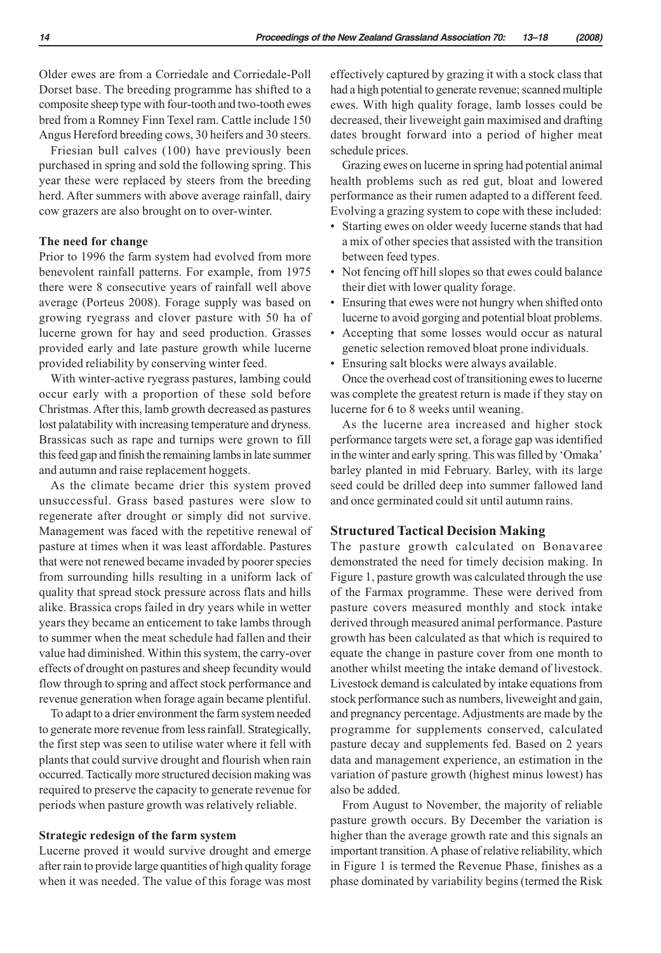Older ewes are from a Corriedale and Corriedale-Poll Dorset base. The breeding programme has shifted to a composite sheep type with four-tooth and two-tooth ewes bred from a Romney Finn Texel ram. Cattle include 150 Angus Hereford breeding cows, 30 heifers and 30 steers.

Friesian bull calves (100) have previously been purchased in spring and sold the following spring. This year these were replaced by steers from the breeding herd. After summers with above average rainfall, dairy cow grazers are also brought on to over-winter.

### **The need for change**

Prior to 1996 the farm system had evolved from more benevolent rainfall patterns. For example, from 1975 there were 8 consecutive years of rainfall well above average (Porteus 2008). Forage supply was based on growing ryegrass and clover pasture with 50 ha of lucerne grown for hay and seed production. Grasses provided early and late pasture growth while lucerne provided reliability by conserving winter feed.

With winter-active ryegrass pastures, lambing could occur early with a proportion of these sold before Christmas. After this, lamb growth decreased as pastures lost palatability with increasing temperature and dryness. Brassicas such as rape and turnips were grown to fill this feed gap and finish the remaining lambs in late summer and autumn and raise replacement hoggets.

As the climate became drier this system proved unsuccessful. Grass based pastures were slow to regenerate after drought or simply did not survive. Management was faced with the repetitive renewal of pasture at times when it was least affordable. Pastures that were not renewed became invaded by poorer species from surrounding hills resulting in a uniform lack of quality that spread stock pressure across flats and hills alike. Brassica crops failed in dry years while in wetter years they became an enticement to take lambs through to summer when the meat schedule had fallen and their value had diminished. Within this system, the carry-over effects of drought on pastures and sheep fecundity would flow through to spring and affect stock performance and revenue generation when forage again became plentiful.

To adapt to a drier environment the farm system needed to generate more revenue from less rainfall. Strategically, the first step was seen to utilise water where it fell with plants that could survive drought and flourish when rain occurred. Tactically more structured decision making was required to preserve the capacity to generate revenue for periods when pasture growth was relatively reliable.

#### **Strategic redesign of the farm system**

Lucerne proved it would survive drought and emerge after rain to provide large quantities of high quality forage when it was needed. The value of this forage was most effectively captured by grazing it with a stock class that had a high potential to generate revenue; scanned multiple ewes. With high quality forage, lamb losses could be decreased, their liveweight gain maximised and drafting dates brought forward into a period of higher meat schedule prices.

Grazing ewes on lucerne in spring had potential animal health problems such as red gut, bloat and lowered performance as their rumen adapted to a different feed. Evolving a grazing system to cope with these included:

- Starting ewes on older weedy lucerne stands that had a mix of other species that assisted with the transition between feed types.
- Not fencing off hill slopes so that ewes could balance their diet with lower quality forage.
- Ensuring that ewes were not hungry when shifted onto lucerne to avoid gorging and potential bloat problems.
- Accepting that some losses would occur as natural genetic selection removed bloat prone individuals.
- Ensuring salt blocks were always available.

Once the overhead cost of transitioning ewes to lucerne was complete the greatest return is made if they stay on lucerne for 6 to 8 weeks until weaning.

As the lucerne area increased and higher stock performance targets were set, a forage gap was identified in the winter and early spring. This was filled by 'Omaka' barley planted in mid February. Barley, with its large seed could be drilled deep into summer fallowed land and once germinated could sit until autumn rains.

### **Structured Tactical Decision Making**

The pasture growth calculated on Bonavaree demonstrated the need for timely decision making. In Figure 1, pasture growth was calculated through the use of the Farmax programme. These were derived from pasture covers measured monthly and stock intake derived through measured animal performance. Pasture growth has been calculated as that which is required to equate the change in pasture cover from one month to another whilst meeting the intake demand of livestock. Livestock demand is calculated by intake equations from stock performance such as numbers, liveweight and gain, and pregnancy percentage. Adjustments are made by the programme for supplements conserved, calculated pasture decay and supplements fed. Based on 2 years data and management experience, an estimation in the variation of pasture growth (highest minus lowest) has also be added.

From August to November, the majority of reliable pasture growth occurs. By December the variation is higher than the average growth rate and this signals an important transition. A phase of relative reliability, which in Figure 1 is termed the Revenue Phase, finishes as a phase dominated by variability begins (termed the Risk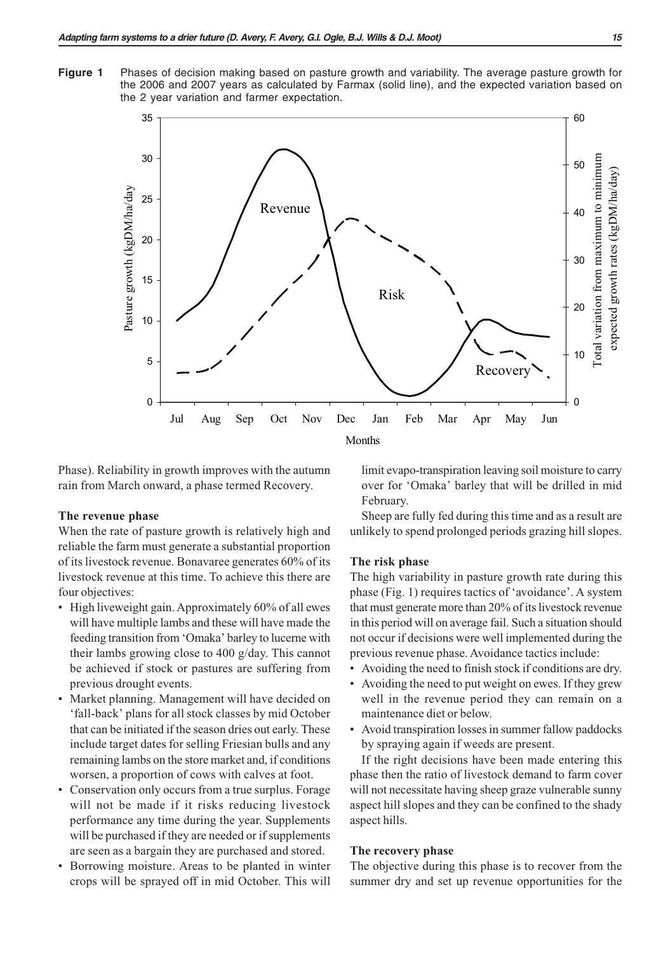**Figure 1** Phases of decision making based on pasture growth and variability. The average pasture growth for the 2006 and 2007 years as calculated by Farmax (solid line), and the expected variation based on the 2 year variation and farmer expectation.



Phase). Reliability in growth improves with the autumn rain from March onward, a phase termed Recovery.

### **The revenue phase**

When the rate of pasture growth is relatively high and reliable the farm must generate a substantial proportion of its livestock revenue. Bonavaree generates 60% of its livestock revenue at this time. To achieve this there are four objectives:

- High liveweight gain. Approximately 60% of all ewes will have multiple lambs and these will have made the feeding transition from 'Omaka' barley to lucerne with their lambs growing close to 400 g/day. This cannot be achieved if stock or pastures are suffering from previous drought events.
- Market planning. Management will have decided on 'fall-back' plans for all stock classes by mid October that can be initiated if the season dries out early. These include target dates for selling Friesian bulls and any remaining lambs on the store market and, if conditions worsen, a proportion of cows with calves at foot.
- Conservation only occurs from a true surplus. Forage will not be made if it risks reducing livestock performance any time during the year. Supplements will be purchased if they are needed or if supplements are seen as a bargain they are purchased and stored.
- Borrowing moisture. Areas to be planted in winter crops will be sprayed off in mid October. This will

limit evapo-transpiration leaving soil moisture to carry over for 'Omaka' barley that will be drilled in mid February.

Sheep are fully fed during this time and as a result are unlikely to spend prolonged periods grazing hill slopes.

#### **The risk phase**

The high variability in pasture growth rate during this phase (Fig. 1) requires tactics of 'avoidance'. A system that must generate more than 20% of its livestock revenue in this period will on average fail. Such a situation should not occur if decisions were well implemented during the previous revenue phase. Avoidance tactics include:

- Avoiding the need to finish stock if conditions are dry.
- Avoiding the need to put weight on ewes. If they grew well in the revenue period they can remain on a maintenance diet or below.
- Avoid transpiration losses in summer fallow paddocks by spraying again if weeds are present.

If the right decisions have been made entering this phase then the ratio of livestock demand to farm cover will not necessitate having sheep graze vulnerable sunny aspect hill slopes and they can be confined to the shady aspect hills.

### **The recovery phase**

The objective during this phase is to recover from the summer dry and set up revenue opportunities for the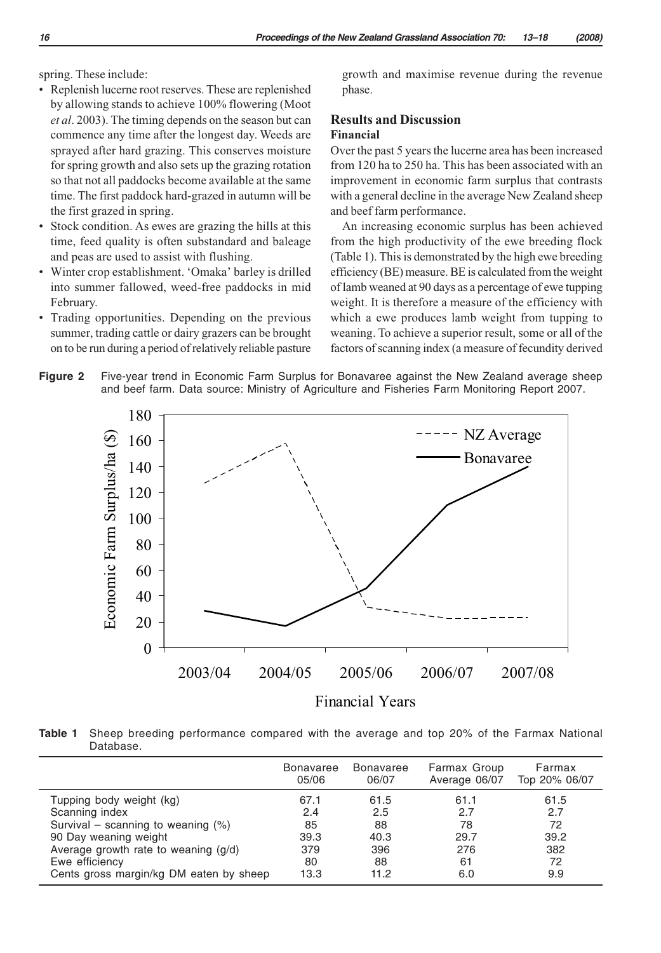spring. These include:

- Replenish lucerne root reserves. These are replenished by allowing stands to achieve 100% flowering (Moot *et al*. 2003). The timing depends on the season but can commence any time after the longest day. Weeds are sprayed after hard grazing. This conserves moisture for spring growth and also sets up the grazing rotation so that not all paddocks become available at the same time. The first paddock hard-grazed in autumn will be the first grazed in spring.
- Stock condition. As ewes are grazing the hills at this time, feed quality is often substandard and baleage and peas are used to assist with flushing.
- Winter crop establishment. 'Omaka' barley is drilled into summer fallowed, weed-free paddocks in mid February.
- Trading opportunities. Depending on the previous summer, trading cattle or dairy grazers can be brought on to be run during a period of relatively reliable pasture

180

growth and maximise revenue during the revenue phase.

### **Results and Discussion Financial**

Over the past 5 years the lucerne area has been increased from 120 ha to 250 ha. This has been associated with an improvement in economic farm surplus that contrasts with a general decline in the average New Zealand sheep and beef farm performance.

An increasing economic surplus has been achieved from the high productivity of the ewe breeding flock (Table 1). This is demonstrated by the high ewe breeding efficiency (BE) measure. BE is calculated from the weight of lamb weaned at 90 days as a percentage of ewe tupping weight. It is therefore a measure of the efficiency with which a ewe produces lamb weight from tupping to weaning. To achieve a superior result, some or all of the factors of scanning index (a measure of fecundity derived

NZ Average



Economic Farm Surplus/ha (\$) Economic Farm Surplus/ha (\$) 160 Bonavaree 140 120 100 80 60 40 20  $\theta$ 2003/04 2004/05 2005/06 2006/07 2007/08 Financial Years

**Table 1** Sheep breeding performance compared with the average and top 20% of the Farmax National Database.

|                                         | <b>Bonavaree</b> | <b>Bonavaree</b> | Farmax Group  | Farmax        |
|-----------------------------------------|------------------|------------------|---------------|---------------|
|                                         | 05/06            | 06/07            | Average 06/07 | Top 20% 06/07 |
| Tupping body weight (kg)                | 67.1             | 61.5             | 61.1          | 61.5          |
| Scanning index                          | 2.4              | 2.5              | 2.7           | 2.7           |
| Survival – scanning to weaning $(\%)$   | 85               | 88               | 78            | 72            |
| 90 Day weaning weight                   | 39.3             | 40.3             | 29.7          | 39.2          |
| Average growth rate to weaning (g/d)    | 379              | 396              | 276           | 382           |
| Ewe efficiency                          | 80               | 88               | 61            | 72            |
| Cents gross margin/kg DM eaten by sheep | 13.3             | 11.2             | 6.0           | 9.9           |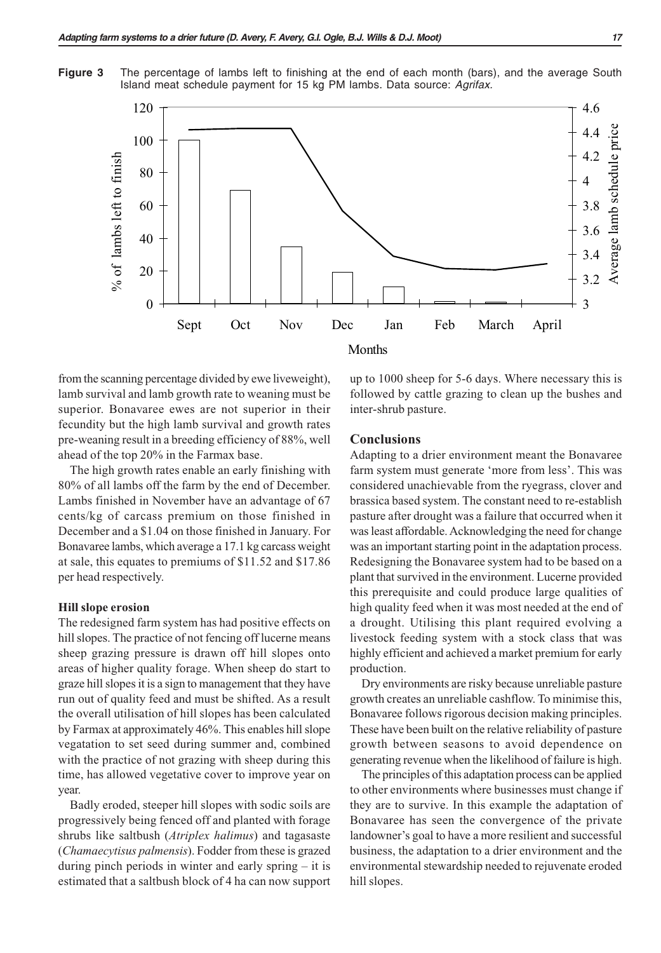**Figure 3** The percentage of lambs left to finishing at the end of each month (bars), and the average South Island meat schedule payment for 15 kg PM lambs. Data source: *Agrifax.*



from the scanning percentage divided by ewe liveweight), lamb survival and lamb growth rate to weaning must be superior. Bonavaree ewes are not superior in their fecundity but the high lamb survival and growth rates pre-weaning result in a breeding efficiency of 88%, well ahead of the top 20% in the Farmax base.

The high growth rates enable an early finishing with 80% of all lambs off the farm by the end of December. Lambs finished in November have an advantage of 67 cents/kg of carcass premium on those finished in December and a \$1.04 on those finished in January. For Bonavaree lambs, which average a 17.1 kg carcass weight at sale, this equates to premiums of \$11.52 and \$17.86 per head respectively.

#### **Hill slope erosion**

The redesigned farm system has had positive effects on hill slopes. The practice of not fencing off lucerne means sheep grazing pressure is drawn off hill slopes onto areas of higher quality forage. When sheep do start to graze hill slopes it is a sign to management that they have run out of quality feed and must be shifted. As a result the overall utilisation of hill slopes has been calculated by Farmax at approximately 46%. This enables hill slope vegatation to set seed during summer and, combined with the practice of not grazing with sheep during this time, has allowed vegetative cover to improve year on year.

Badly eroded, steeper hill slopes with sodic soils are progressively being fenced off and planted with forage shrubs like saltbush (*Atriplex halimus*) and tagasaste (*Chamaecytisus palmensis*). Fodder from these is grazed during pinch periods in winter and early spring – it is estimated that a saltbush block of 4 ha can now support up to 1000 sheep for 5-6 days. Where necessary this is followed by cattle grazing to clean up the bushes and inter-shrub pasture.

#### **Conclusions**

Adapting to a drier environment meant the Bonavaree farm system must generate 'more from less'. This was considered unachievable from the ryegrass, clover and brassica based system. The constant need to re-establish pasture after drought was a failure that occurred when it was least affordable. Acknowledging the need for change was an important starting point in the adaptation process. Redesigning the Bonavaree system had to be based on a plant that survived in the environment. Lucerne provided this prerequisite and could produce large qualities of high quality feed when it was most needed at the end of a drought. Utilising this plant required evolving a livestock feeding system with a stock class that was highly efficient and achieved a market premium for early production.

Dry environments are risky because unreliable pasture growth creates an unreliable cashflow. To minimise this, Bonavaree follows rigorous decision making principles. These have been built on the relative reliability of pasture growth between seasons to avoid dependence on generating revenue when the likelihood of failure is high.

The principles of this adaptation process can be applied to other environments where businesses must change if they are to survive. In this example the adaptation of Bonavaree has seen the convergence of the private landowner's goal to have a more resilient and successful business, the adaptation to a drier environment and the environmental stewardship needed to rejuvenate eroded hill slopes.